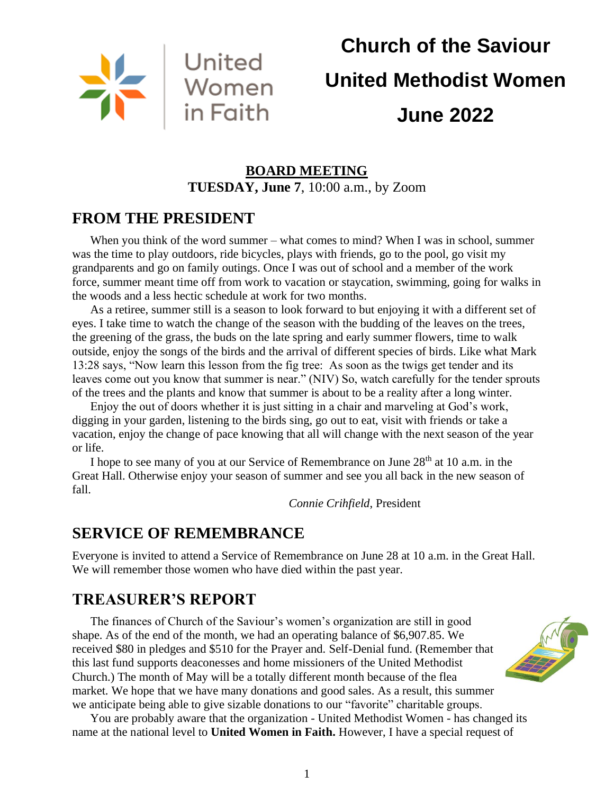

# **Church of the Saviour United Methodist Women June 2022**

## **BOARD MEETING TUESDAY, June 7**, 10:00 a.m., by Zoom

## **FROM THE PRESIDENT**

When you think of the word summer – what comes to mind? When I was in school, summer was the time to play outdoors, ride bicycles, plays with friends, go to the pool, go visit my grandparents and go on family outings. Once I was out of school and a member of the work force, summer meant time off from work to vacation or staycation, swimming, going for walks in the woods and a less hectic schedule at work for two months.

As a retiree, summer still is a season to look forward to but enjoying it with a different set of eyes. I take time to watch the change of the season with the budding of the leaves on the trees, the greening of the grass, the buds on the late spring and early summer flowers, time to walk outside, enjoy the songs of the birds and the arrival of different species of birds. Like what Mark 13:28 says, "Now learn this lesson from the fig tree: As soon as the twigs get tender and its leaves come out you know that summer is near." (NIV) So, watch carefully for the tender sprouts of the trees and the plants and know that summer is about to be a reality after a long winter.

Enjoy the out of doors whether it is just sitting in a chair and marveling at God's work, digging in your garden, listening to the birds sing, go out to eat, visit with friends or take a vacation, enjoy the change of pace knowing that all will change with the next season of the year or life.

I hope to see many of you at our Service of Remembrance on June 28<sup>th</sup> at 10 a.m. in the Great Hall. Otherwise enjoy your season of summer and see you all back in the new season of fall.

*Connie Crihfield*, President

# **SERVICE OF REMEMBRANCE**

Everyone is invited to attend a Service of Remembrance on June 28 at 10 a.m. in the Great Hall. We will remember those women who have died within the past year.

# **TREASURER'S REPORT**

The finances of Church of the Saviour's women's organization are still in good shape. As of the end of the month, we had an operating balance of \$6,907.85. We received \$80 in pledges and \$510 for the Prayer and. Self-Denial fund. (Remember that this last fund supports deaconesses and home missioners of the United Methodist Church.) The month of May will be a totally different month because of the flea market. We hope that we have many donations and good sales. As a result, this summer we anticipate being able to give sizable donations to our "favorite" charitable groups.

You are probably aware that the organization - United Methodist Women - has changed its name at the national level to **United Women in Faith.** However, I have a special request of

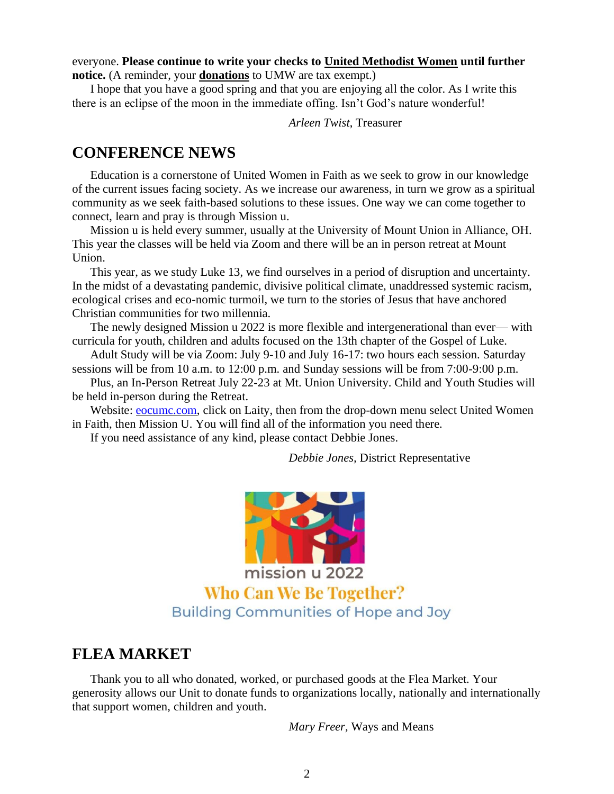everyone. **Please continue to write your checks to United Methodist Women until further notice.** (A reminder, your **donations** to UMW are tax exempt.)

I hope that you have a good spring and that you are enjoying all the color. As I write this there is an eclipse of the moon in the immediate offing. Isn't God's nature wonderful!

*Arleen Twist*, Treasurer

## **CONFERENCE NEWS**

Education is a cornerstone of United Women in Faith as we seek to grow in our knowledge of the current issues facing society. As we increase our awareness, in turn we grow as a spiritual community as we seek faith-based solutions to these issues. One way we can come together to connect, learn and pray is through Mission u.

Mission u is held every summer, usually at the University of Mount Union in Alliance, OH. This year the classes will be held via Zoom and there will be an in person retreat at Mount Union.

This year, as we study Luke 13, we find ourselves in a period of disruption and uncertainty. In the midst of a devastating pandemic, divisive political climate, unaddressed systemic racism, ecological crises and eco-nomic turmoil, we turn to the stories of Jesus that have anchored Christian communities for two millennia.

The newly designed Mission u 2022 is more flexible and intergenerational than ever— with curricula for youth, children and adults focused on the 13th chapter of the Gospel of Luke.

Adult Study will be via Zoom: July 9-10 and July 16-17: two hours each session. Saturday sessions will be from 10 a.m. to 12:00 p.m. and Sunday sessions will be from 7:00-9:00 p.m.

Plus, an In-Person Retreat July 22-23 at Mt. Union University. Child and Youth Studies will be held in-person during the Retreat.

Website: [eocumc.com,](http://eocumc.com/) click on Laity, then from the drop-down menu select United Women in Faith, then Mission U. You will find all of the information you need there.

If you need assistance of any kind, please contact Debbie Jones.

*Debbie Jones,* District Representative



mission u 2022 **Who Can We Be Together? Building Communities of Hope and Joy** 

#### **FLEA MARKET**

Thank you to all who donated, worked, or purchased goods at the Flea Market. Your generosity allows our Unit to donate funds to organizations locally, nationally and internationally that support women, children and youth.

*Mary Freer,* Ways and Means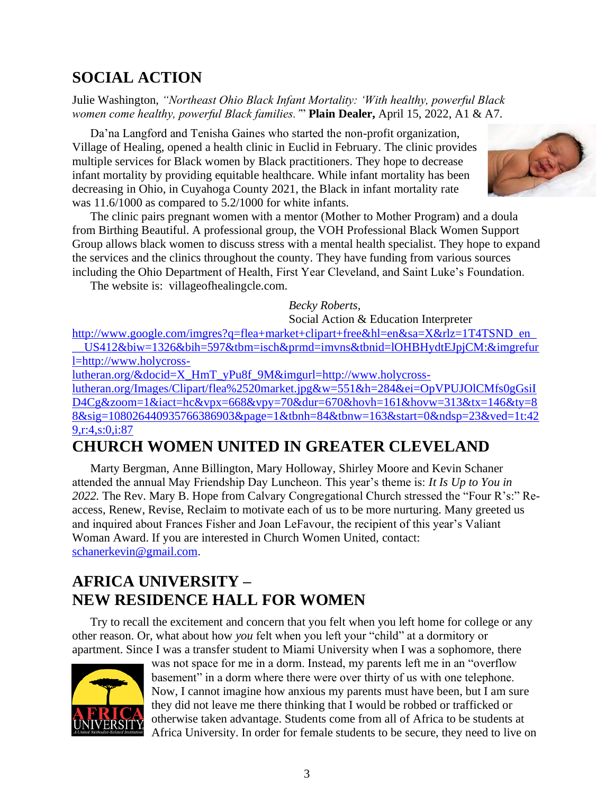# **SOCIAL ACTION**

Julie Washington, *"Northeast Ohio Black Infant Mortality: 'With healthy, powerful Black women come healthy, powerful Black families.'*" **Plain Dealer,** April 15, 2022, A1 & A7.

Da'na Langford and Tenisha Gaines who started the non-profit organization, Village of Healing, opened a health clinic in Euclid in February. The clinic provides multiple services for Black women by Black practitioners. They hope to decrease infant mortality by providing equitable healthcare. While infant mortality has been decreasing in Ohio, in Cuyahoga County 2021, the Black in infant mortality rate was 11.6/1000 as compared to 5.2/1000 for white infants.

The clinic pairs pregnant women with a mentor (Mother to Mother Program) and a doula from Birthing Beautiful. A professional group, the VOH Professional Black Women Support Group allows black women to discuss stress with a mental health specialist. They hope to expand the services and the clinics throughout the county. They have funding from various sources including the Ohio Department of Health, First Year Cleveland, and Saint Luke's Foundation.

The website is: villageofhealingcle.com.

#### *Becky Roberts,*

Social Action & Education Interpreter

[http://www.google.com/imgres?q=flea+market+clipart+free&hl=en&sa=X&rlz=1T4TSND\\_en\\_](http://www.google.com/imgres?q=flea+market+clipart+free&hl=en&sa=X&rlz=1T4TSND_en___US412&biw=1326&bih=597&tbm=isch&prmd=imvns&tbnid=lOHBHydtEJpjCM:&imgrefurl=http://www.holycross-lutheran.org/&docid=X_HmT_yPu8f_9M&imgurl=http://www.holycross-lutheran.org/Images/Clipart/flea%2520market.jpg&w=551&h=284&ei=OpVPUJOlCMfs0gGsiID4Cg&zoom=1&iact=hc&vpx=668&vpy=70&dur=670&hovh=161&hovw=313&tx=146&ty=88&sig=108026440935766386903&page=1&tbnh=84&tbnw=163&start=0&ndsp=23&ved=1t:429,r:4,s:0,i:87) [\\_\\_US412&biw=1326&bih=597&tbm=isch&prmd=imvns&tbnid=lOHBHydtEJpjCM:&imgrefur](http://www.google.com/imgres?q=flea+market+clipart+free&hl=en&sa=X&rlz=1T4TSND_en___US412&biw=1326&bih=597&tbm=isch&prmd=imvns&tbnid=lOHBHydtEJpjCM:&imgrefurl=http://www.holycross-lutheran.org/&docid=X_HmT_yPu8f_9M&imgurl=http://www.holycross-lutheran.org/Images/Clipart/flea%2520market.jpg&w=551&h=284&ei=OpVPUJOlCMfs0gGsiID4Cg&zoom=1&iact=hc&vpx=668&vpy=70&dur=670&hovh=161&hovw=313&tx=146&ty=88&sig=108026440935766386903&page=1&tbnh=84&tbnw=163&start=0&ndsp=23&ved=1t:429,r:4,s:0,i:87) [l=http://www.holycross-](http://www.google.com/imgres?q=flea+market+clipart+free&hl=en&sa=X&rlz=1T4TSND_en___US412&biw=1326&bih=597&tbm=isch&prmd=imvns&tbnid=lOHBHydtEJpjCM:&imgrefurl=http://www.holycross-lutheran.org/&docid=X_HmT_yPu8f_9M&imgurl=http://www.holycross-lutheran.org/Images/Clipart/flea%2520market.jpg&w=551&h=284&ei=OpVPUJOlCMfs0gGsiID4Cg&zoom=1&iact=hc&vpx=668&vpy=70&dur=670&hovh=161&hovw=313&tx=146&ty=88&sig=108026440935766386903&page=1&tbnh=84&tbnw=163&start=0&ndsp=23&ved=1t:429,r:4,s:0,i:87)

[lutheran.org/&docid=X\\_HmT\\_yPu8f\\_9M&imgurl=http://www.holycross](http://www.google.com/imgres?q=flea+market+clipart+free&hl=en&sa=X&rlz=1T4TSND_en___US412&biw=1326&bih=597&tbm=isch&prmd=imvns&tbnid=lOHBHydtEJpjCM:&imgrefurl=http://www.holycross-lutheran.org/&docid=X_HmT_yPu8f_9M&imgurl=http://www.holycross-lutheran.org/Images/Clipart/flea%2520market.jpg&w=551&h=284&ei=OpVPUJOlCMfs0gGsiID4Cg&zoom=1&iact=hc&vpx=668&vpy=70&dur=670&hovh=161&hovw=313&tx=146&ty=88&sig=108026440935766386903&page=1&tbnh=84&tbnw=163&start=0&ndsp=23&ved=1t:429,r:4,s:0,i:87)[lutheran.org/Images/Clipart/flea%2520market.jpg&w=551&h=284&ei=OpVPUJOlCMfs0gGsiI](http://www.google.com/imgres?q=flea+market+clipart+free&hl=en&sa=X&rlz=1T4TSND_en___US412&biw=1326&bih=597&tbm=isch&prmd=imvns&tbnid=lOHBHydtEJpjCM:&imgrefurl=http://www.holycross-lutheran.org/&docid=X_HmT_yPu8f_9M&imgurl=http://www.holycross-lutheran.org/Images/Clipart/flea%2520market.jpg&w=551&h=284&ei=OpVPUJOlCMfs0gGsiID4Cg&zoom=1&iact=hc&vpx=668&vpy=70&dur=670&hovh=161&hovw=313&tx=146&ty=88&sig=108026440935766386903&page=1&tbnh=84&tbnw=163&start=0&ndsp=23&ved=1t:429,r:4,s:0,i:87) [D4Cg&zoom=1&iact=hc&vpx=668&vpy=70&dur=670&hovh=161&hovw=313&tx=146&ty=8](http://www.google.com/imgres?q=flea+market+clipart+free&hl=en&sa=X&rlz=1T4TSND_en___US412&biw=1326&bih=597&tbm=isch&prmd=imvns&tbnid=lOHBHydtEJpjCM:&imgrefurl=http://www.holycross-lutheran.org/&docid=X_HmT_yPu8f_9M&imgurl=http://www.holycross-lutheran.org/Images/Clipart/flea%2520market.jpg&w=551&h=284&ei=OpVPUJOlCMfs0gGsiID4Cg&zoom=1&iact=hc&vpx=668&vpy=70&dur=670&hovh=161&hovw=313&tx=146&ty=88&sig=108026440935766386903&page=1&tbnh=84&tbnw=163&start=0&ndsp=23&ved=1t:429,r:4,s:0,i:87) [8&sig=108026440935766386903&page=1&tbnh=84&tbnw=163&start=0&ndsp=23&ved=1t:42](http://www.google.com/imgres?q=flea+market+clipart+free&hl=en&sa=X&rlz=1T4TSND_en___US412&biw=1326&bih=597&tbm=isch&prmd=imvns&tbnid=lOHBHydtEJpjCM:&imgrefurl=http://www.holycross-lutheran.org/&docid=X_HmT_yPu8f_9M&imgurl=http://www.holycross-lutheran.org/Images/Clipart/flea%2520market.jpg&w=551&h=284&ei=OpVPUJOlCMfs0gGsiID4Cg&zoom=1&iact=hc&vpx=668&vpy=70&dur=670&hovh=161&hovw=313&tx=146&ty=88&sig=108026440935766386903&page=1&tbnh=84&tbnw=163&start=0&ndsp=23&ved=1t:429,r:4,s:0,i:87)

[9,r:4,s:0,i:87](http://www.google.com/imgres?q=flea+market+clipart+free&hl=en&sa=X&rlz=1T4TSND_en___US412&biw=1326&bih=597&tbm=isch&prmd=imvns&tbnid=lOHBHydtEJpjCM:&imgrefurl=http://www.holycross-lutheran.org/&docid=X_HmT_yPu8f_9M&imgurl=http://www.holycross-lutheran.org/Images/Clipart/flea%2520market.jpg&w=551&h=284&ei=OpVPUJOlCMfs0gGsiID4Cg&zoom=1&iact=hc&vpx=668&vpy=70&dur=670&hovh=161&hovw=313&tx=146&ty=88&sig=108026440935766386903&page=1&tbnh=84&tbnw=163&start=0&ndsp=23&ved=1t:429,r:4,s:0,i:87)

## **CHURCH WOMEN UNITED IN GREATER CLEVELAND**

Marty Bergman, Anne Billington, Mary Holloway, Shirley Moore and Kevin Schaner attended the annual May Friendship Day Luncheon. This year's theme is: *It Is Up to You in 2022.* The Rev. Mary B. Hope from Calvary Congregational Church stressed the "Four R's:" Reaccess, Renew, Revise, Reclaim to motivate each of us to be more nurturing. Many greeted us and inquired about Frances Fisher and Joan LeFavour, the recipient of this year's Valiant Woman Award. If you are interested in Church Women United, contact: [schanerkevin@gmail.com.](mailto:schanerkevin@gmail.com)

# **AFRICA UNIVERSITY – NEW RESIDENCE HALL FOR WOMEN**

Try to recall the excitement and concern that you felt when you left home for college or any other reason. Or, what about how *you* felt when you left your "child" at a dormitory or apartment. Since I was a transfer student to Miami University when I was a sophomore, there



was not space for me in a dorm. Instead, my parents left me in an "overflow basement" in a dorm where there were over thirty of us with one telephone. Now, I cannot imagine how anxious my parents must have been, but I am sure they did not leave me there thinking that I would be robbed or trafficked or otherwise taken advantage. Students come from all of Africa to be students at Africa University. In order for female students to be secure, they need to live on